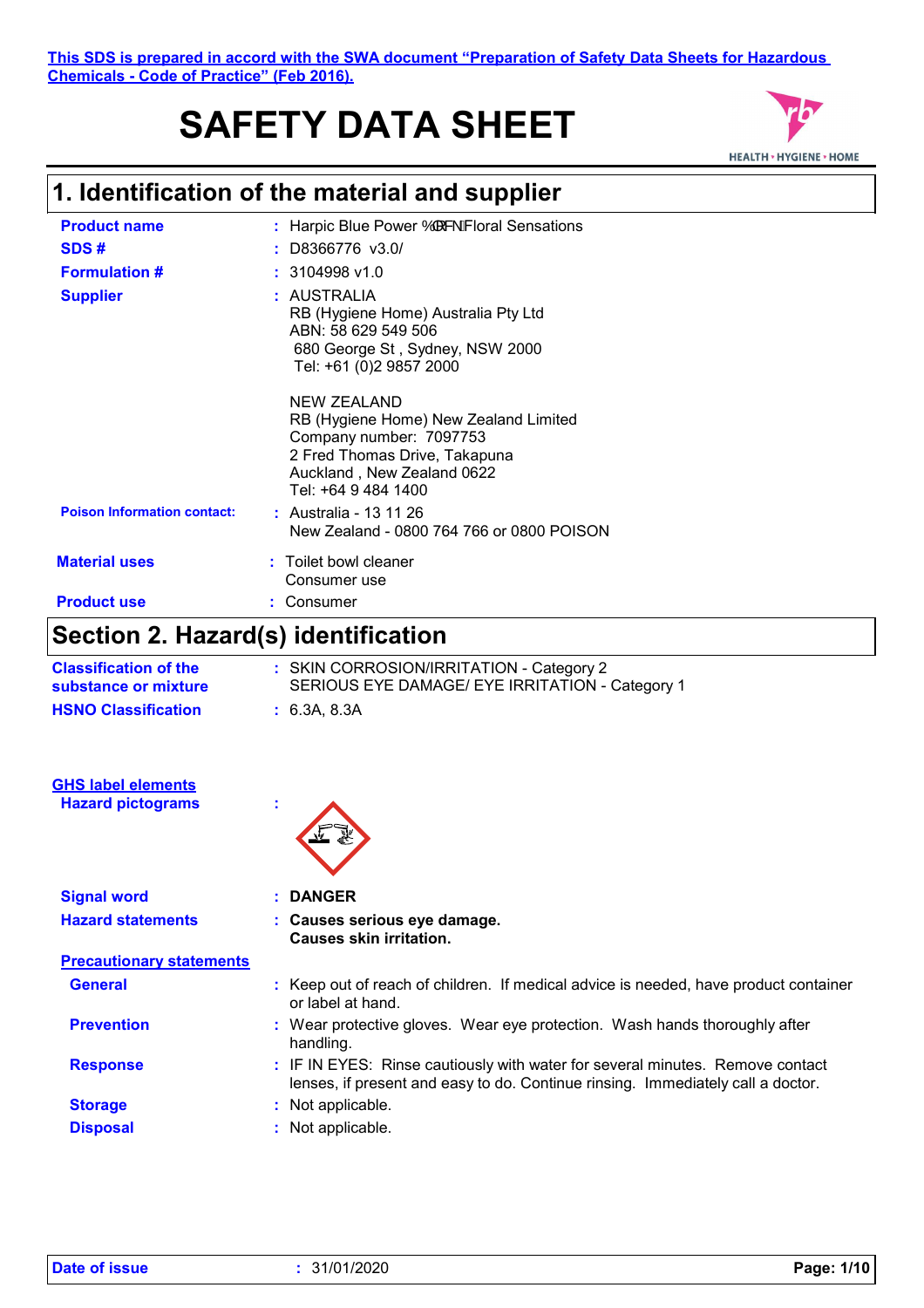# **SAFETY DATA SHEET**



# **1. Identification of the material and supplier**

| Section 2 Hazard(s) identification |                                                                                                                                                                       |
|------------------------------------|-----------------------------------------------------------------------------------------------------------------------------------------------------------------------|
| <b>Product use</b>                 | Consumer                                                                                                                                                              |
| <b>Material uses</b>               | : Toilet bowl cleaner<br>Consumer use                                                                                                                                 |
| <b>Poison Information contact:</b> | : Australia - 13 11 26<br>New Zealand - 0800 764 766 or 0800 POISON                                                                                                   |
|                                    | NEW ZEALAND<br>RB (Hygiene Home) New Zealand Limited<br>Company number: 7097753<br>2 Fred Thomas Drive, Takapuna<br>Auckland, New Zealand 0622<br>Tel: +64 9 484 1400 |
| <b>Supplier</b>                    | : AUSTRALIA<br>RB (Hygiene Home) Australia Pty Ltd<br>ABN: 58 629 549 506<br>680 George St, Sydney, NSW 2000<br>Tel: +61 (0)2 9857 2000                               |
| <b>Formulation #</b>               | $: 3104998$ v1.0                                                                                                                                                      |
| SDS#                               | $:$ D8366776 v3.0\$                                                                                                                                                   |
| <b>Product name</b>                | : Harpic Blue Power $\dot{\mathsf{O}}$ ( & $\dot{\mathsf{A}}$ Floral Sensations                                                                                       |

#### **Section 2. Hazard(s) identification**

| <b>Classification of the</b><br>substance or mixture  | : SKIN CORROSION/IRRITATION - Category 2<br>SERIOUS EYE DAMAGE/ EYE IRRITATION - Category 1 |
|-------------------------------------------------------|---------------------------------------------------------------------------------------------|
| <b>HSNO Classification</b>                            | : 6.3A, 8.3A                                                                                |
|                                                       |                                                                                             |
| <b>GHS label elements</b><br><b>Hazard pictograms</b> | $\blacksquare$<br>×.                                                                        |
|                                                       |                                                                                             |
| <b>Signal word</b>                                    | <b>DANGER</b>                                                                               |

| <b>Hazard statements</b>        | : Causes serious eye damage.<br><b>Causes skin irritation.</b> |
|---------------------------------|----------------------------------------------------------------|
| <b>Precautionary statements</b> |                                                                |

| <b>General</b>    | : Keep out of reach of children. If medical advice is needed, have product container<br>or label at hand.                                                        |
|-------------------|------------------------------------------------------------------------------------------------------------------------------------------------------------------|
| <b>Prevention</b> | : Wear protective gloves. Wear eye protection. Wash hands thoroughly after<br>handling.                                                                          |
| <b>Response</b>   | : IF IN EYES: Rinse cautiously with water for several minutes. Remove contact<br>lenses, if present and easy to do. Continue rinsing. Immediately call a doctor. |

**Storage :** Not applicable. **Disposal :** Not applicable.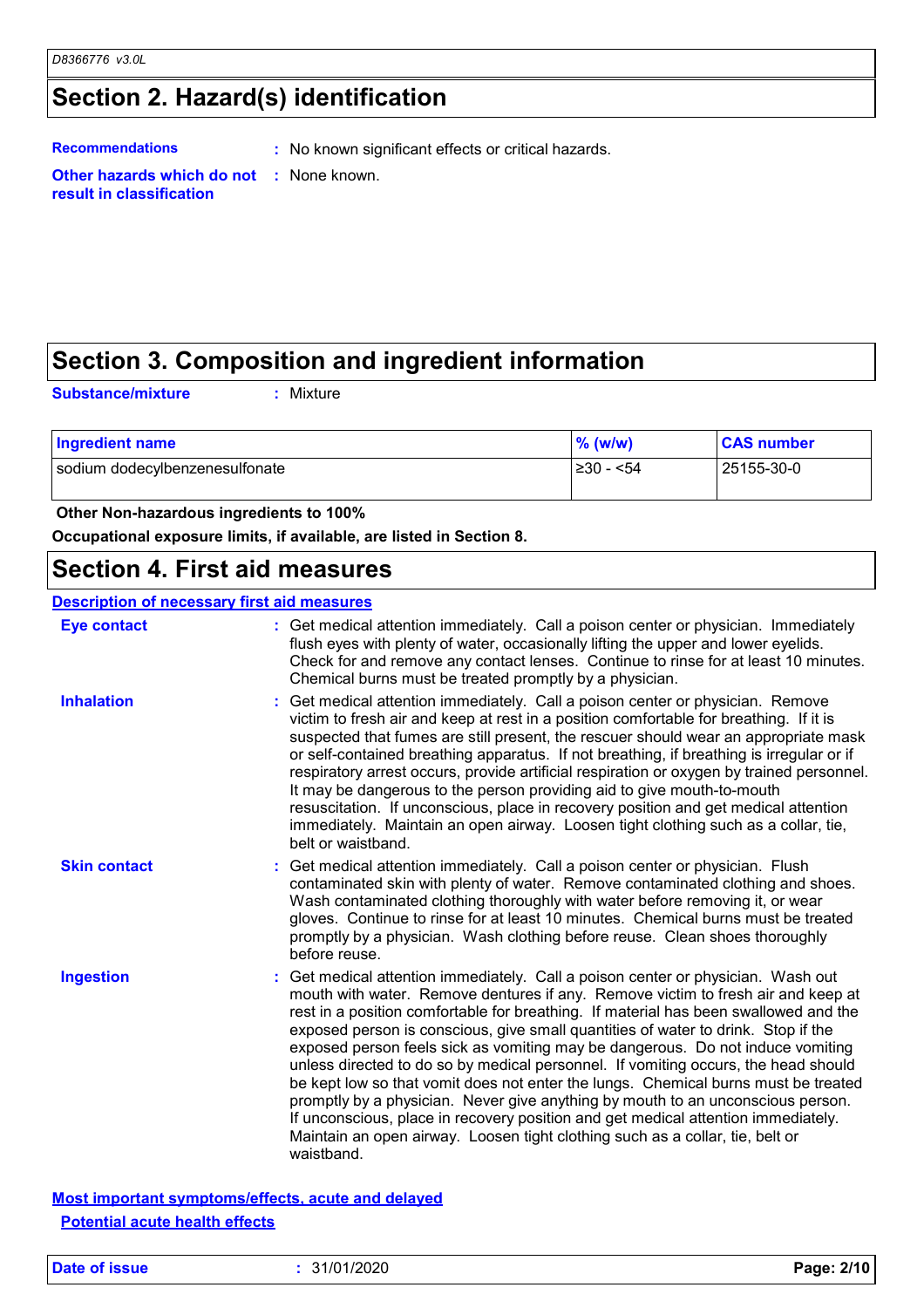# **Section 2. Hazard(s) identification**

**Recommendations :** No known significant effects or critical hazards.

**Other hazards which do not :** None known. **result in classification**

## **Section 3. Composition and ingredient information**

**Substance/mixture :**

Mixture

| <b>Ingredient name</b>         | $\%$ (w/w) | <b>CAS number</b> |
|--------------------------------|------------|-------------------|
| sodium dodecylbenzenesulfonate | I≥30 - <54 | 25155-30-0        |

 **Other Non-hazardous ingredients to 100%**

**Occupational exposure limits, if available, are listed in Section 8.**

### **Section 4. First aid measures**

| <b>Description of necessary first aid measures</b> |                                                                                                                                                                                                                                                                                                                                                                                                                                                                                                                                                                                                                                                                                                                                                                                                                                                                                      |
|----------------------------------------------------|--------------------------------------------------------------------------------------------------------------------------------------------------------------------------------------------------------------------------------------------------------------------------------------------------------------------------------------------------------------------------------------------------------------------------------------------------------------------------------------------------------------------------------------------------------------------------------------------------------------------------------------------------------------------------------------------------------------------------------------------------------------------------------------------------------------------------------------------------------------------------------------|
| <b>Eye contact</b>                                 | : Get medical attention immediately. Call a poison center or physician. Immediately<br>flush eyes with plenty of water, occasionally lifting the upper and lower eyelids.<br>Check for and remove any contact lenses. Continue to rinse for at least 10 minutes.<br>Chemical burns must be treated promptly by a physician.                                                                                                                                                                                                                                                                                                                                                                                                                                                                                                                                                          |
| <b>Inhalation</b>                                  | Get medical attention immediately. Call a poison center or physician. Remove<br>victim to fresh air and keep at rest in a position comfortable for breathing. If it is<br>suspected that fumes are still present, the rescuer should wear an appropriate mask<br>or self-contained breathing apparatus. If not breathing, if breathing is irregular or if<br>respiratory arrest occurs, provide artificial respiration or oxygen by trained personnel.<br>It may be dangerous to the person providing aid to give mouth-to-mouth<br>resuscitation. If unconscious, place in recovery position and get medical attention<br>immediately. Maintain an open airway. Loosen tight clothing such as a collar, tie,<br>belt or waistband.                                                                                                                                                  |
| <b>Skin contact</b>                                | Get medical attention immediately. Call a poison center or physician. Flush<br>contaminated skin with plenty of water. Remove contaminated clothing and shoes.<br>Wash contaminated clothing thoroughly with water before removing it, or wear<br>gloves. Continue to rinse for at least 10 minutes. Chemical burns must be treated<br>promptly by a physician. Wash clothing before reuse. Clean shoes thoroughly<br>before reuse.                                                                                                                                                                                                                                                                                                                                                                                                                                                  |
| <b>Ingestion</b>                                   | Get medical attention immediately. Call a poison center or physician. Wash out<br>mouth with water. Remove dentures if any. Remove victim to fresh air and keep at<br>rest in a position comfortable for breathing. If material has been swallowed and the<br>exposed person is conscious, give small quantities of water to drink. Stop if the<br>exposed person feels sick as vomiting may be dangerous. Do not induce vomiting<br>unless directed to do so by medical personnel. If vomiting occurs, the head should<br>be kept low so that vomit does not enter the lungs. Chemical burns must be treated<br>promptly by a physician. Never give anything by mouth to an unconscious person.<br>If unconscious, place in recovery position and get medical attention immediately.<br>Maintain an open airway. Loosen tight clothing such as a collar, tie, belt or<br>waistband. |

**Most important symptoms/effects, acute and delayed Potential acute health effects**

**Date of issue :** 31/01/2020 **Page: 2/10**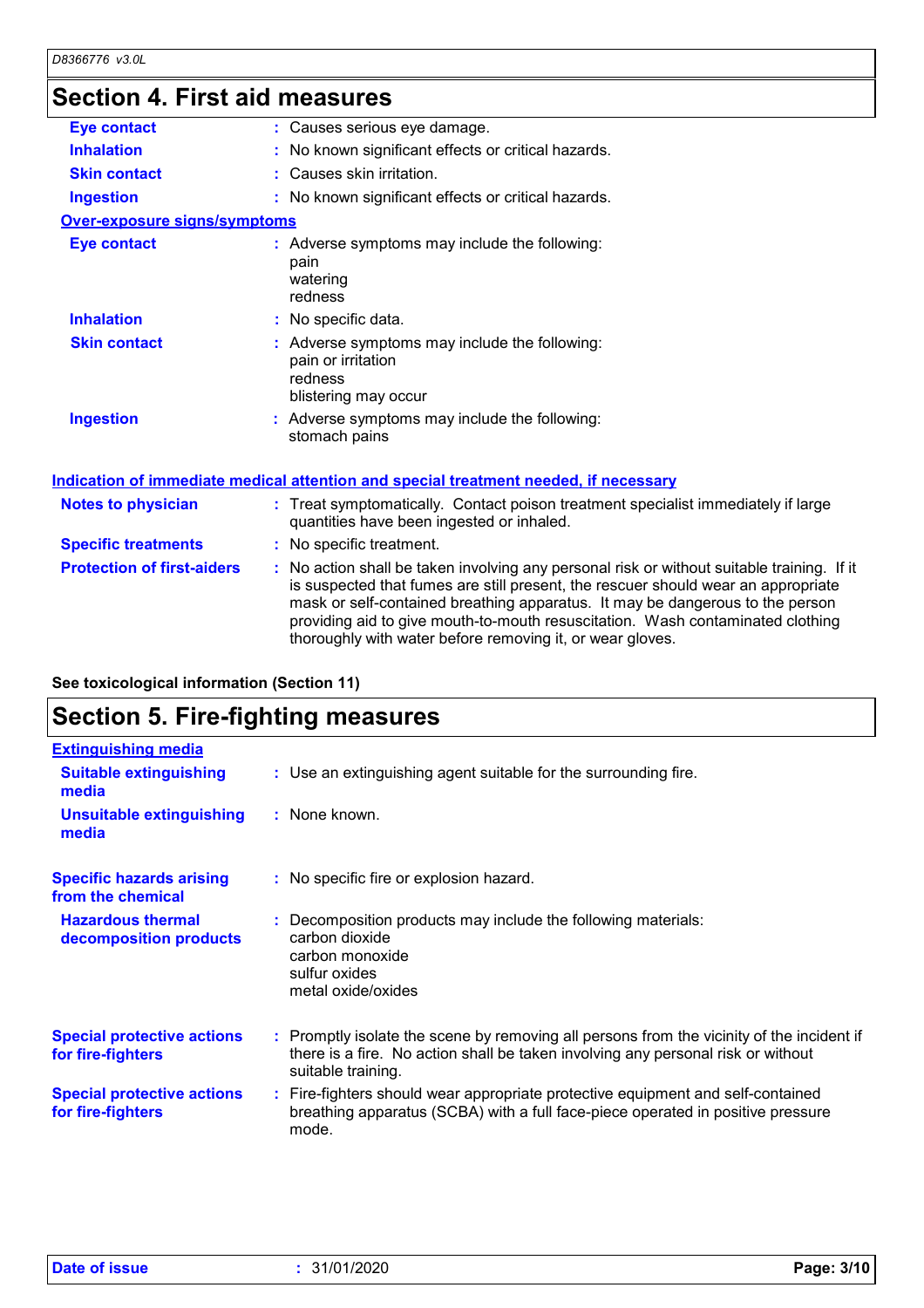# **Section 4. First aid measures**

| : Causes serious eye damage.                                                                                                                                                                                                                                                                                                                                                                                    |
|-----------------------------------------------------------------------------------------------------------------------------------------------------------------------------------------------------------------------------------------------------------------------------------------------------------------------------------------------------------------------------------------------------------------|
| No known significant effects or critical hazards.                                                                                                                                                                                                                                                                                                                                                               |
| : Causes skin irritation.                                                                                                                                                                                                                                                                                                                                                                                       |
| : No known significant effects or critical hazards.                                                                                                                                                                                                                                                                                                                                                             |
| <b>Over-exposure signs/symptoms</b>                                                                                                                                                                                                                                                                                                                                                                             |
| : Adverse symptoms may include the following:<br>pain<br>watering<br>redness                                                                                                                                                                                                                                                                                                                                    |
| : No specific data.                                                                                                                                                                                                                                                                                                                                                                                             |
| : Adverse symptoms may include the following:<br>pain or irritation<br>redness<br>blistering may occur                                                                                                                                                                                                                                                                                                          |
| : Adverse symptoms may include the following:<br>stomach pains                                                                                                                                                                                                                                                                                                                                                  |
| Indication of immediate medical attention and special treatment needed, if necessary                                                                                                                                                                                                                                                                                                                            |
| : Treat symptomatically. Contact poison treatment specialist immediately if large<br>quantities have been ingested or inhaled.                                                                                                                                                                                                                                                                                  |
| : No specific treatment.                                                                                                                                                                                                                                                                                                                                                                                        |
| : No action shall be taken involving any personal risk or without suitable training. If it<br>is suspected that fumes are still present, the rescuer should wear an appropriate<br>mask or self-contained breathing apparatus. It may be dangerous to the person<br>providing aid to give mouth-to-mouth resuscitation. Wash contaminated clothing<br>thoroughly with water before removing it, or wear gloves. |
|                                                                                                                                                                                                                                                                                                                                                                                                                 |

**See toxicological information (Section 11)**

# **Section 5. Fire-fighting measures**

| <b>Extinguishing media</b>                             |                                                                                                                                                                                                     |
|--------------------------------------------------------|-----------------------------------------------------------------------------------------------------------------------------------------------------------------------------------------------------|
| <b>Suitable extinguishing</b><br>media                 | : Use an extinguishing agent suitable for the surrounding fire.                                                                                                                                     |
| <b>Unsuitable extinguishing</b><br>media               | : None known.                                                                                                                                                                                       |
| <b>Specific hazards arising</b><br>from the chemical   | : No specific fire or explosion hazard.                                                                                                                                                             |
| <b>Hazardous thermal</b><br>decomposition products     | : Decomposition products may include the following materials:<br>carbon dioxide<br>carbon monoxide<br>sulfur oxides<br>metal oxide/oxides                                                           |
| <b>Special protective actions</b><br>for fire-fighters | : Promptly isolate the scene by removing all persons from the vicinity of the incident if<br>there is a fire. No action shall be taken involving any personal risk or without<br>suitable training. |
| <b>Special protective actions</b><br>for fire-fighters | : Fire-fighters should wear appropriate protective equipment and self-contained<br>breathing apparatus (SCBA) with a full face-piece operated in positive pressure<br>mode.                         |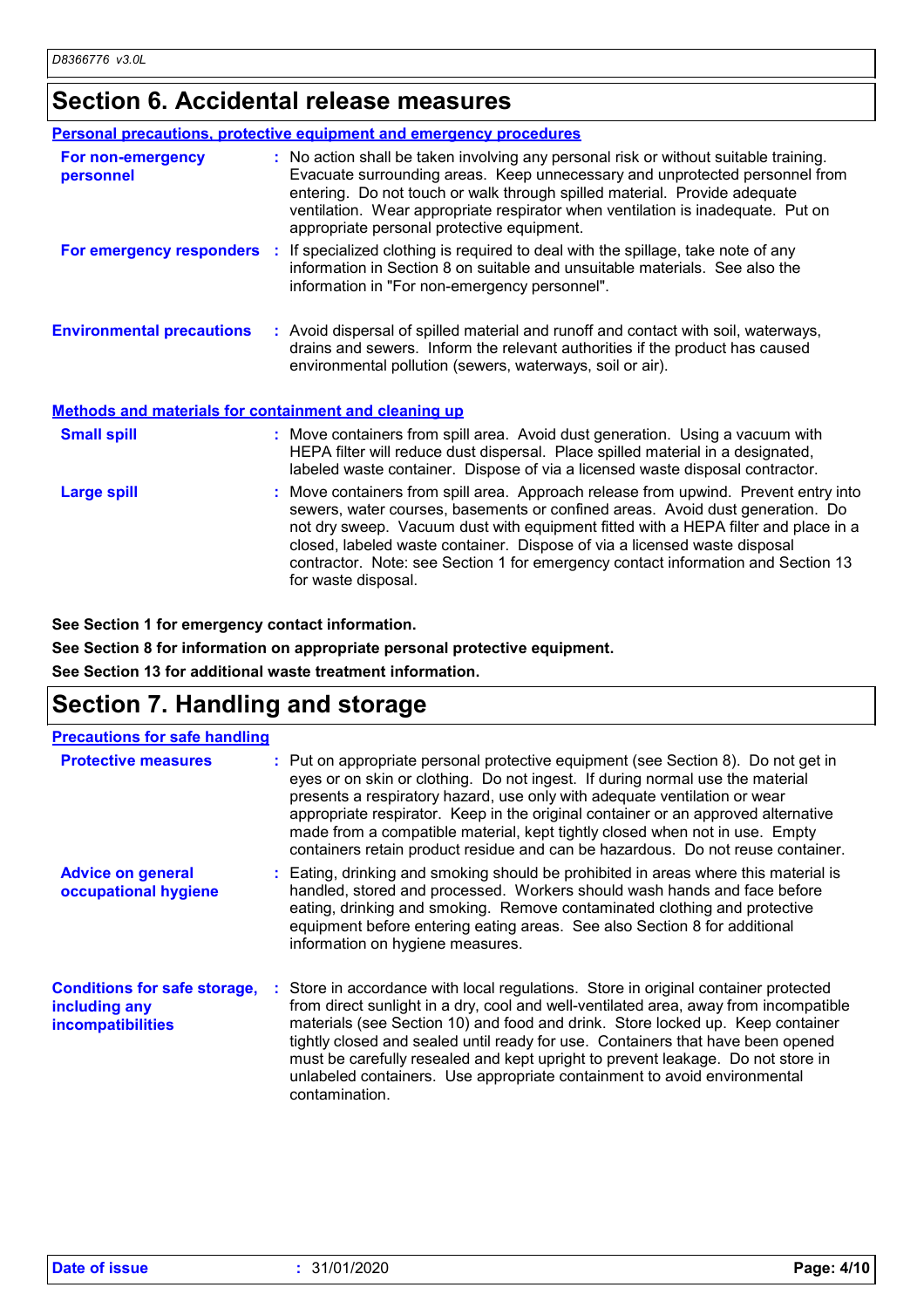# **Section 6. Accidental release measures**

|                                                              | <b>Personal precautions, protective equipment and emergency procedures</b>                                                                                                                                                                                                                                                                                                                                                                         |
|--------------------------------------------------------------|----------------------------------------------------------------------------------------------------------------------------------------------------------------------------------------------------------------------------------------------------------------------------------------------------------------------------------------------------------------------------------------------------------------------------------------------------|
| For non-emergency<br>personnel                               | : No action shall be taken involving any personal risk or without suitable training.<br>Evacuate surrounding areas. Keep unnecessary and unprotected personnel from<br>entering. Do not touch or walk through spilled material. Provide adequate<br>ventilation. Wear appropriate respirator when ventilation is inadequate. Put on<br>appropriate personal protective equipment.                                                                  |
|                                                              | For emergency responders : If specialized clothing is required to deal with the spillage, take note of any<br>information in Section 8 on suitable and unsuitable materials. See also the<br>information in "For non-emergency personnel".                                                                                                                                                                                                         |
| <b>Environmental precautions</b>                             | : Avoid dispersal of spilled material and runoff and contact with soil, waterways,<br>drains and sewers. Inform the relevant authorities if the product has caused<br>environmental pollution (sewers, waterways, soil or air).                                                                                                                                                                                                                    |
| <b>Methods and materials for containment and cleaning up</b> |                                                                                                                                                                                                                                                                                                                                                                                                                                                    |
| <b>Small spill</b>                                           | : Move containers from spill area. Avoid dust generation. Using a vacuum with<br>HEPA filter will reduce dust dispersal. Place spilled material in a designated,<br>labeled waste container. Dispose of via a licensed waste disposal contractor.                                                                                                                                                                                                  |
| <b>Large spill</b>                                           | : Move containers from spill area. Approach release from upwind. Prevent entry into<br>sewers, water courses, basements or confined areas. Avoid dust generation. Do<br>not dry sweep. Vacuum dust with equipment fitted with a HEPA filter and place in a<br>closed, labeled waste container. Dispose of via a licensed waste disposal<br>contractor. Note: see Section 1 for emergency contact information and Section 13<br>for waste disposal. |

**See Section 1 for emergency contact information.**

**See Section 8 for information on appropriate personal protective equipment.**

**See Section 13 for additional waste treatment information.**

### **Section 7. Handling and storage**

| <b>Precautions for safe handling</b>                                             |                                                                                                                                                                                                                                                                                                                                                                                                                                                                                                                                   |
|----------------------------------------------------------------------------------|-----------------------------------------------------------------------------------------------------------------------------------------------------------------------------------------------------------------------------------------------------------------------------------------------------------------------------------------------------------------------------------------------------------------------------------------------------------------------------------------------------------------------------------|
| <b>Protective measures</b>                                                       | : Put on appropriate personal protective equipment (see Section 8). Do not get in<br>eyes or on skin or clothing. Do not ingest. If during normal use the material<br>presents a respiratory hazard, use only with adequate ventilation or wear<br>appropriate respirator. Keep in the original container or an approved alternative<br>made from a compatible material, kept tightly closed when not in use. Empty<br>containers retain product residue and can be hazardous. Do not reuse container.                            |
| <b>Advice on general</b><br>occupational hygiene                                 | : Eating, drinking and smoking should be prohibited in areas where this material is<br>handled, stored and processed. Workers should wash hands and face before<br>eating, drinking and smoking. Remove contaminated clothing and protective<br>equipment before entering eating areas. See also Section 8 for additional<br>information on hygiene measures.                                                                                                                                                                     |
| <b>Conditions for safe storage,</b><br>including any<br><b>incompatibilities</b> | : Store in accordance with local regulations. Store in original container protected<br>from direct sunlight in a dry, cool and well-ventilated area, away from incompatible<br>materials (see Section 10) and food and drink. Store locked up. Keep container<br>tightly closed and sealed until ready for use. Containers that have been opened<br>must be carefully resealed and kept upright to prevent leakage. Do not store in<br>unlabeled containers. Use appropriate containment to avoid environmental<br>contamination. |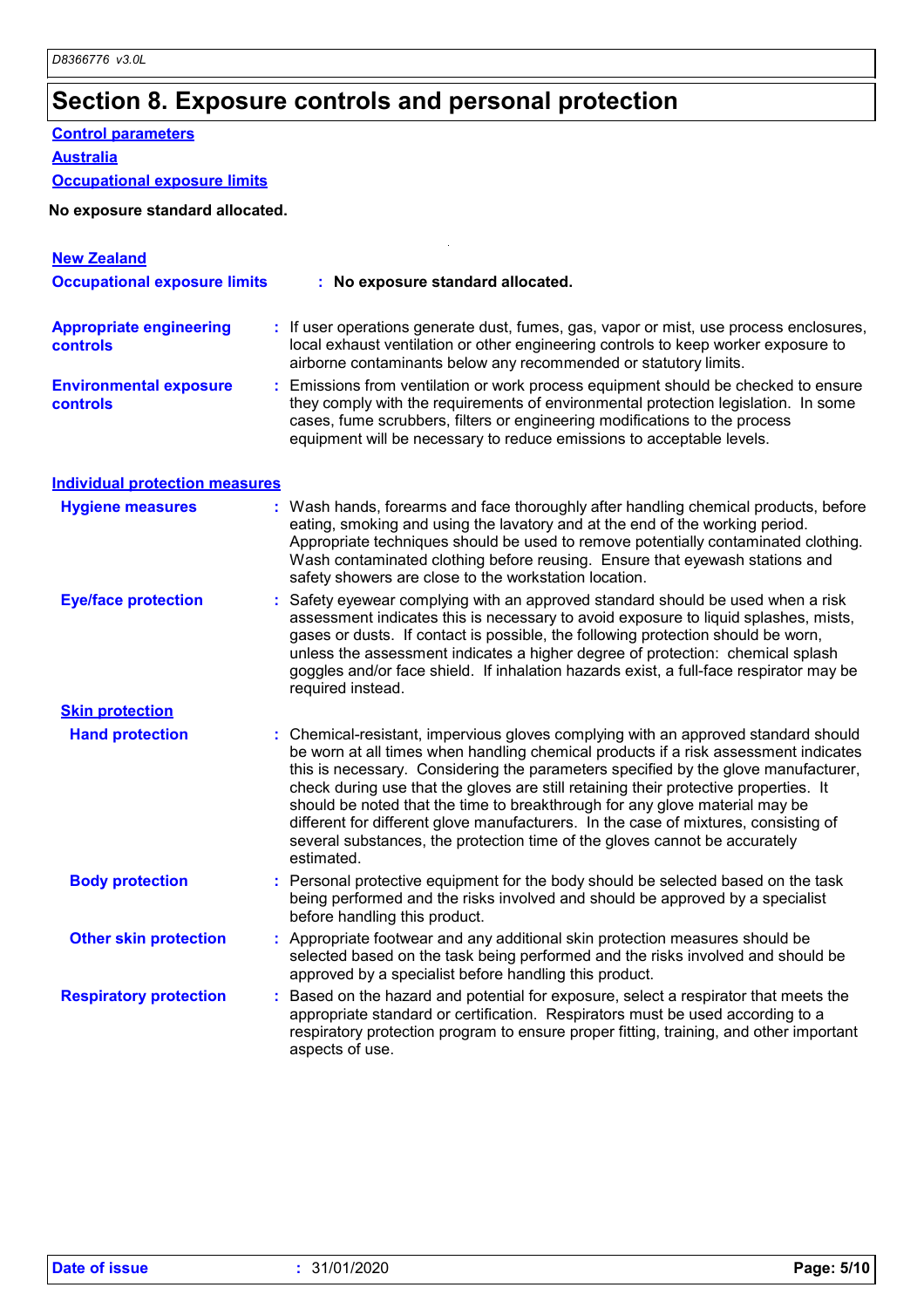# **Section 8. Exposure controls and personal protection**

#### **Control parameters**

**Australia**

#### **Occupational exposure limits**

#### **No exposure standard allocated.**

| <b>New Zealand</b><br><b>Occupational exposure limits</b> | : No exposure standard allocated.                                                                                                                                                                                                                                                                                                                                                                                                                                                                                                                                                                                         |
|-----------------------------------------------------------|---------------------------------------------------------------------------------------------------------------------------------------------------------------------------------------------------------------------------------------------------------------------------------------------------------------------------------------------------------------------------------------------------------------------------------------------------------------------------------------------------------------------------------------------------------------------------------------------------------------------------|
|                                                           |                                                                                                                                                                                                                                                                                                                                                                                                                                                                                                                                                                                                                           |
| <b>Appropriate engineering</b><br><b>controls</b>         | : If user operations generate dust, fumes, gas, vapor or mist, use process enclosures,<br>local exhaust ventilation or other engineering controls to keep worker exposure to<br>airborne contaminants below any recommended or statutory limits.                                                                                                                                                                                                                                                                                                                                                                          |
| <b>Environmental exposure</b><br><b>controls</b>          | Emissions from ventilation or work process equipment should be checked to ensure<br>they comply with the requirements of environmental protection legislation. In some<br>cases, fume scrubbers, filters or engineering modifications to the process<br>equipment will be necessary to reduce emissions to acceptable levels.                                                                                                                                                                                                                                                                                             |
| <b>Individual protection measures</b>                     |                                                                                                                                                                                                                                                                                                                                                                                                                                                                                                                                                                                                                           |
| <b>Hygiene measures</b>                                   | : Wash hands, forearms and face thoroughly after handling chemical products, before<br>eating, smoking and using the lavatory and at the end of the working period.<br>Appropriate techniques should be used to remove potentially contaminated clothing.<br>Wash contaminated clothing before reusing. Ensure that eyewash stations and<br>safety showers are close to the workstation location.                                                                                                                                                                                                                         |
| <b>Eye/face protection</b>                                | Safety eyewear complying with an approved standard should be used when a risk<br>assessment indicates this is necessary to avoid exposure to liquid splashes, mists,<br>gases or dusts. If contact is possible, the following protection should be worn,<br>unless the assessment indicates a higher degree of protection: chemical splash<br>goggles and/or face shield. If inhalation hazards exist, a full-face respirator may be<br>required instead.                                                                                                                                                                 |
| <b>Skin protection</b>                                    |                                                                                                                                                                                                                                                                                                                                                                                                                                                                                                                                                                                                                           |
| <b>Hand protection</b>                                    | : Chemical-resistant, impervious gloves complying with an approved standard should<br>be worn at all times when handling chemical products if a risk assessment indicates<br>this is necessary. Considering the parameters specified by the glove manufacturer,<br>check during use that the gloves are still retaining their protective properties. It<br>should be noted that the time to breakthrough for any glove material may be<br>different for different glove manufacturers. In the case of mixtures, consisting of<br>several substances, the protection time of the gloves cannot be accurately<br>estimated. |
| <b>Body protection</b>                                    | Personal protective equipment for the body should be selected based on the task<br>being performed and the risks involved and should be approved by a specialist<br>before handling this product.                                                                                                                                                                                                                                                                                                                                                                                                                         |
| <b>Other skin protection</b>                              | Appropriate footwear and any additional skin protection measures should be<br>selected based on the task being performed and the risks involved and should be<br>approved by a specialist before handling this product.                                                                                                                                                                                                                                                                                                                                                                                                   |
| <b>Respiratory protection</b>                             | : Based on the hazard and potential for exposure, select a respirator that meets the<br>appropriate standard or certification. Respirators must be used according to a<br>respiratory protection program to ensure proper fitting, training, and other important<br>aspects of use.                                                                                                                                                                                                                                                                                                                                       |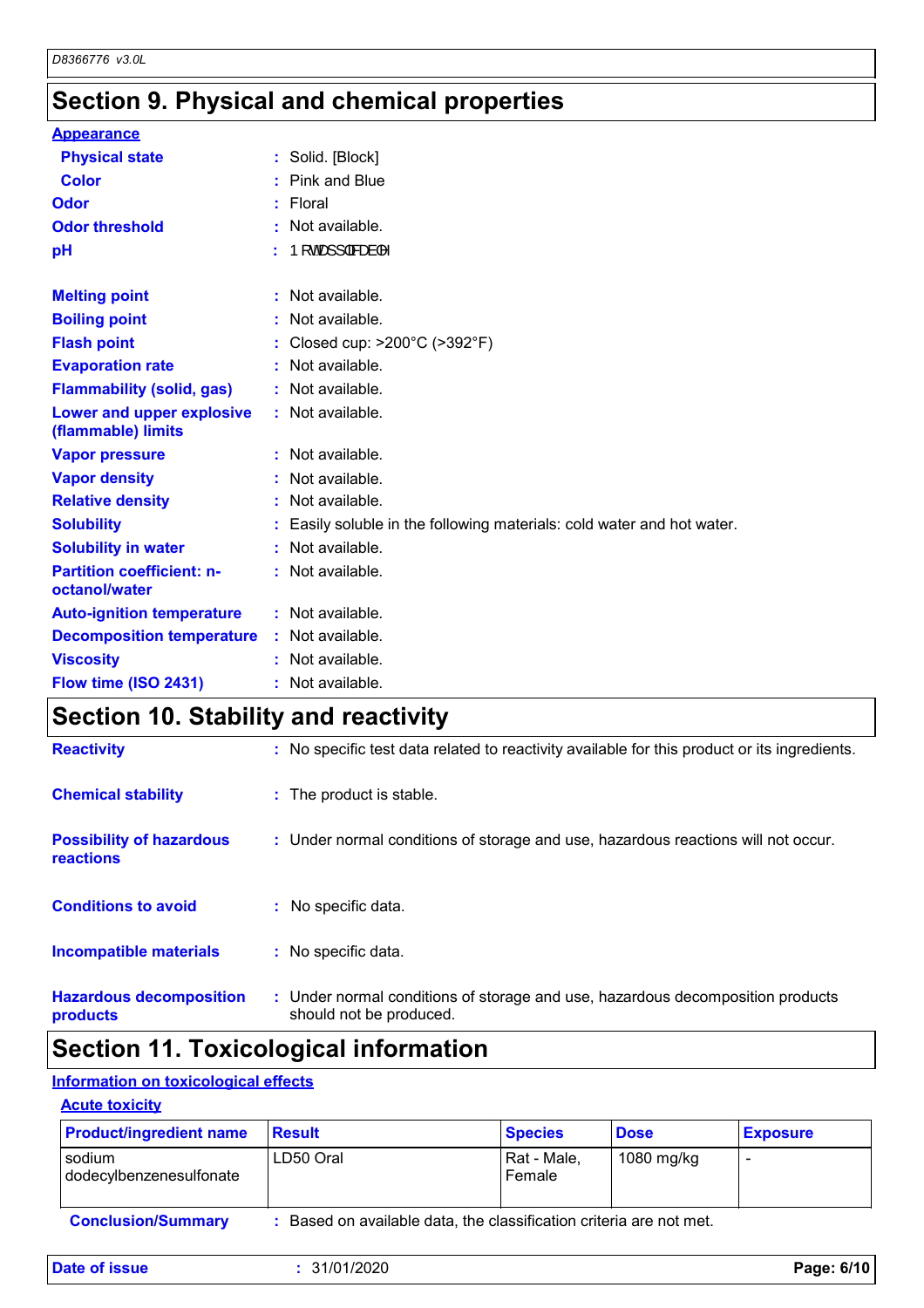# **Section 9. Physical and chemical properties**

| <b>Appearance</b>                                 |    |                                                                      |
|---------------------------------------------------|----|----------------------------------------------------------------------|
| <b>Physical state</b>                             |    | : Solid. [Block]                                                     |
| <b>Color</b>                                      |    | Pink and Blue                                                        |
| Odor                                              | t. | Floral                                                               |
| <b>Odor threshold</b>                             |    | Not available.                                                       |
| pH                                                |    | Þ[c4æ]]∣a‱am≟ ^                                                      |
| <b>Melting point</b>                              |    | : Not available.                                                     |
| <b>Boiling point</b>                              |    | Not available.                                                       |
| <b>Flash point</b>                                |    | Closed cup: >200°C (>392°F)                                          |
| <b>Evaporation rate</b>                           |    | Not available.                                                       |
| <b>Flammability (solid, gas)</b>                  |    | : Not available.                                                     |
| Lower and upper explosive<br>(flammable) limits   |    | : Not available.                                                     |
| <b>Vapor pressure</b>                             |    | : Not available.                                                     |
| <b>Vapor density</b>                              |    | Not available.                                                       |
| <b>Relative density</b>                           |    | Not available.                                                       |
| <b>Solubility</b>                                 |    | Easily soluble in the following materials: cold water and hot water. |
| <b>Solubility in water</b>                        |    | Not available.                                                       |
| <b>Partition coefficient: n-</b><br>octanol/water |    | : Not available.                                                     |
| <b>Auto-ignition temperature</b>                  |    | : Not available.                                                     |
| <b>Decomposition temperature</b>                  |    | : Not available.                                                     |
| <b>Viscosity</b>                                  |    | Not available.                                                       |
| Flow time (ISO 2431)                              |    | Not available.                                                       |

# **Section 10. Stability and reactivity**

| <b>Reactivity</b>                            | : No specific test data related to reactivity available for this product or its ingredients.              |
|----------------------------------------------|-----------------------------------------------------------------------------------------------------------|
| <b>Chemical stability</b>                    | : The product is stable.                                                                                  |
| <b>Possibility of hazardous</b><br>reactions | : Under normal conditions of storage and use, hazardous reactions will not occur.                         |
| <b>Conditions to avoid</b>                   | : No specific data.                                                                                       |
| <b>Incompatible materials</b>                | : No specific data.                                                                                       |
| <b>Hazardous decomposition</b><br>products   | : Under normal conditions of storage and use, hazardous decomposition products<br>should not be produced. |

# **Section 11. Toxicological information**

#### **Information on toxicological effects**

#### **Acute toxicity**

| <b>Product/ingredient name</b>      | <b>Result</b>                                                     | <b>Species</b>        | <b>Dose</b> | <b>Exposure</b> |
|-------------------------------------|-------------------------------------------------------------------|-----------------------|-------------|-----------------|
| l sodium<br>dodecylbenzenesulfonate | LD50 Oral                                                         | Rat - Male,<br>Female | 1080 mg/kg  |                 |
| <b>Conclusion/Summary</b>           | Based on available data, the classification criteria are not met. |                       |             |                 |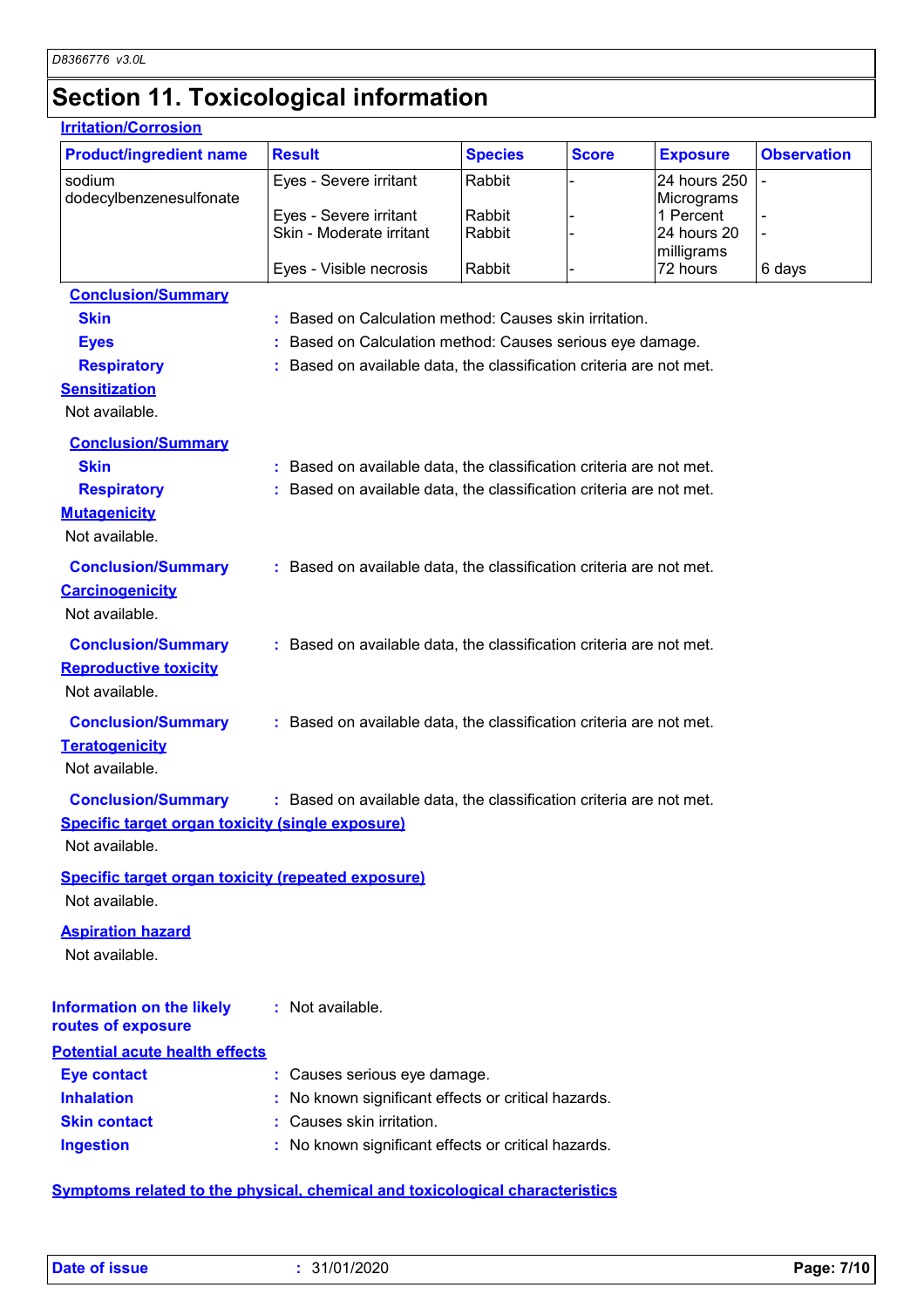### **Section 11. Toxicological information**

#### **Carcinogenicity** Not available. **Conclusion/Summary :** Based on available data, the classification criteria are not met. **Mutagenicity** Not available. **Conclusion/Summary :** Based on available data, the classification criteria are not met. **Teratogenicity** Not available. **Conclusion/Summary :** Based on available data, the classification criteria are not met. **Reproductive toxicity Conclusion/Summary :** Based on available data, the classification criteria are not met. Not available. **Irritation/Corrosion** sodium dodecylbenzenesulfonate Eyes - Severe irritant Rabbit - 24 hours 250 **Micrograms** Eyes - Severe irritant Rabbit - 1 Percent - 1 Percent - 1 Percent - 1 Percent - 1 Percent - 1 Percent - 1 Percent - 1 Percent - 1 Percent - 1 Percent - 1 Percent - 1 Percent - 1 Percent - 1 Percent - 1 Percent - 1 Percent Skin - Moderate irritant - Rabbit milligrams<br>72 hours Eyes - Visible necrosis  $\begin{array}{ccc} \text{Rabbit} & - & 72 \text{ hours} & 6 \text{ days} \end{array}$ **Product/ingredient name** Result **Result All Species Score Exposure Observation Conclusion/Summary Skin Example 20 :** Based on Calculation method: Causes skin irritation. **Eyes Exercise Exercise 1 Exercise 2 :** Based on Calculation method: Causes serious eye damage. **Respiratory <b>:** Based on available data, the classification criteria are not met. **Sensitization** Not available. **Conclusion/Summary Skin Example 20 :** Based on available data, the classification criteria are not met. **Respiratory :** Based on available data, the classification criteria are not met. **Species Information on the likely routes of exposure Specific target organ toxicity (single exposure) Specific target organ toxicity (repeated exposure)** Not available. Not available. **Aspiration hazard** Not available. **:** Not available. **Potential acute health effects**

| <b>Eye contact</b>  | : Causes serious eye damage.                        |
|---------------------|-----------------------------------------------------|
| <b>Inhalation</b>   | : No known significant effects or critical hazards. |
| <b>Skin contact</b> | : Causes skin irritation.                           |
| <b>Ingestion</b>    | : No known significant effects or critical hazards. |

#### **Symptoms related to the physical, chemical and toxicological characteristics**

-

-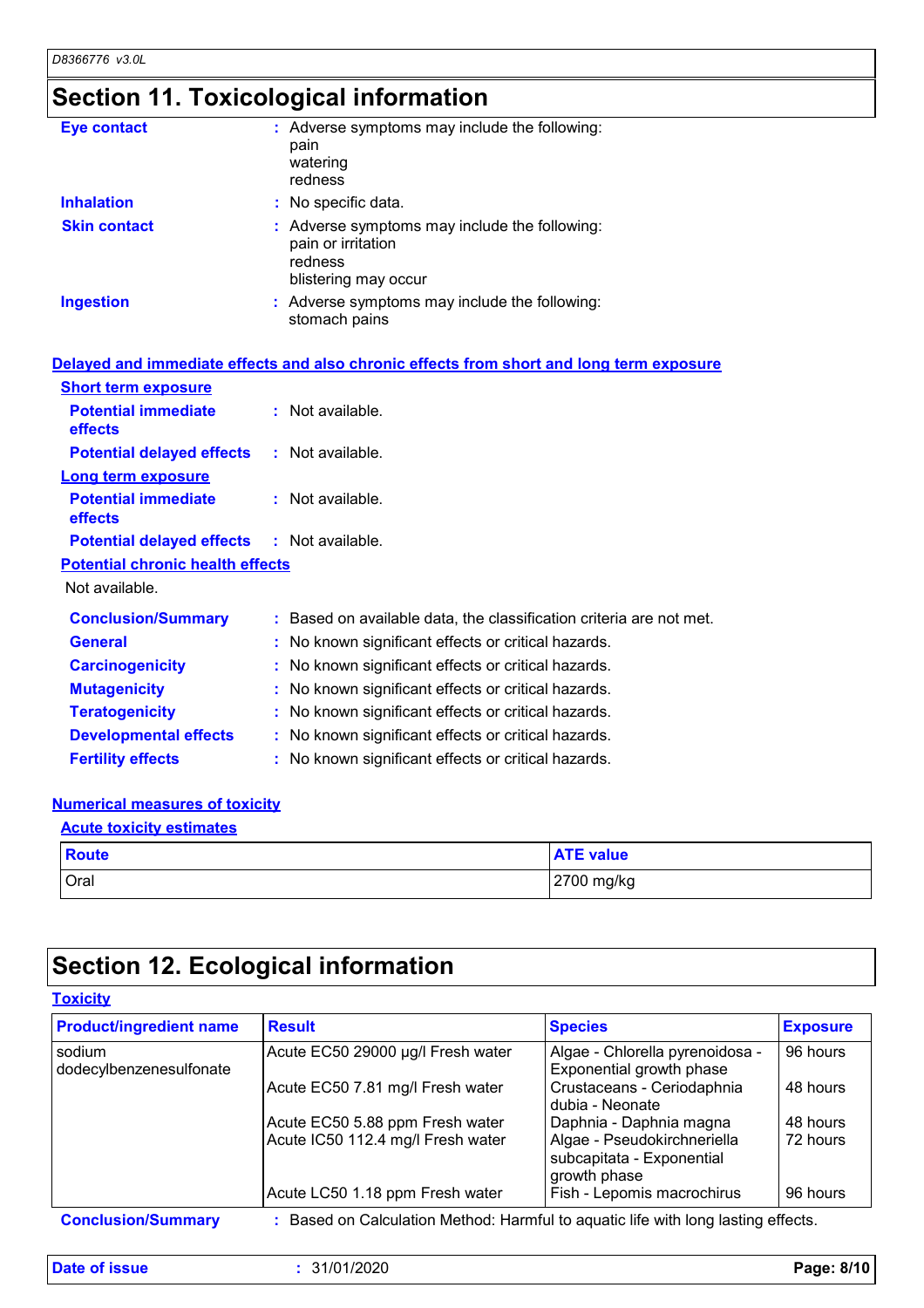# **Section 11. Toxicological information**

| <b>Eye contact</b>  | : Adverse symptoms may include the following:<br>pain<br>watering<br>redness                           |
|---------------------|--------------------------------------------------------------------------------------------------------|
| <b>Inhalation</b>   | : No specific data.                                                                                    |
| <b>Skin contact</b> | : Adverse symptoms may include the following:<br>pain or irritation<br>redness<br>blistering may occur |
| <b>Ingestion</b>    | : Adverse symptoms may include the following:<br>stomach pains                                         |

|                                                   | Delayed and immediate effects and also chronic effects from short and long term exposure |
|---------------------------------------------------|------------------------------------------------------------------------------------------|
| <b>Short term exposure</b>                        |                                                                                          |
| <b>Potential immediate</b><br>effects             | $:$ Not available.                                                                       |
| <b>Potential delayed effects</b>                  | : Not available.                                                                         |
| <b>Long term exposure</b>                         |                                                                                          |
| <b>Potential immediate</b><br>effects             | $:$ Not available.                                                                       |
| <b>Potential delayed effects : Not available.</b> |                                                                                          |
| <b>Potential chronic health effects</b>           |                                                                                          |
| Not available.                                    |                                                                                          |
| <b>Conclusion/Summary</b>                         | : Based on available data, the classification criteria are not met.                      |
| <b>General</b>                                    | : No known significant effects or critical hazards.                                      |
| <b>Carcinogenicity</b>                            | : No known significant effects or critical hazards.                                      |
| <b>Mutagenicity</b>                               | : No known significant effects or critical hazards.                                      |
| <b>Teratogenicity</b>                             | : No known significant effects or critical hazards.                                      |
| <b>Developmental effects</b>                      | : No known significant effects or critical hazards.                                      |
| <b>Fertility effects</b>                          | : No known significant effects or critical hazards.                                      |

#### **Numerical measures of toxicity**

| <b>Acute toxicity estimates</b> |                  |  |
|---------------------------------|------------------|--|
| Route                           | <b>ATE value</b> |  |
| Oral                            | 2700 mg/kg       |  |

# **Section 12. Ecological information**

| <b>Toxicity</b>                   |                                                                                 |                                                                          |                 |  |
|-----------------------------------|---------------------------------------------------------------------------------|--------------------------------------------------------------------------|-----------------|--|
| <b>Product/ingredient name</b>    | <b>Result</b>                                                                   | <b>Species</b>                                                           | <b>Exposure</b> |  |
| sodium<br>dodecylbenzenesulfonate | Acute EC50 29000 µg/l Fresh water                                               | Algae - Chlorella pyrenoidosa -<br>Exponential growth phase              | 96 hours        |  |
|                                   | Acute EC50 7.81 mg/l Fresh water                                                | Crustaceans - Ceriodaphnia<br>dubia - Neonate                            | 48 hours        |  |
|                                   | Acute EC50 5.88 ppm Fresh water                                                 | Daphnia - Daphnia magna                                                  | 48 hours        |  |
|                                   | Acute IC50 112.4 mg/l Fresh water                                               | Algae - Pseudokirchneriella<br>subcapitata - Exponential<br>growth phase | 72 hours        |  |
|                                   | Acute LC50 1.18 ppm Fresh water                                                 | Fish - Lepomis macrochirus                                               | 96 hours        |  |
| <b>Conclusion/Summary</b>         | Based on Calculation Method: Harmful to aquatic life with long lasting effects. |                                                                          |                 |  |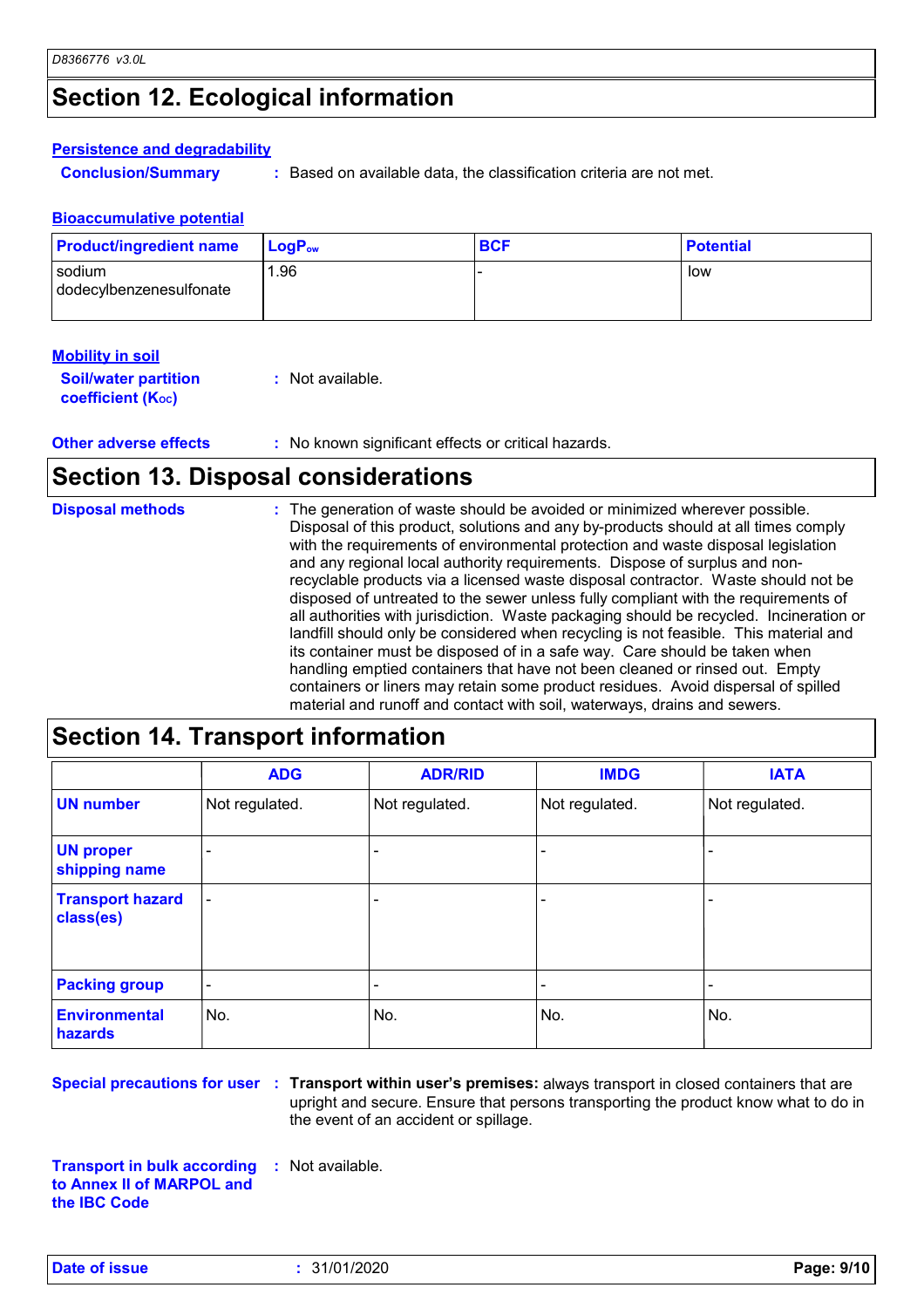# **Section 12. Ecological information**

#### **Persistence and degradability**

**Conclusion/Summary :** Based on available data, the classification criteria are not met.

#### **Bioaccumulative potential**

| <b>Product/ingredient name</b>    | $LoaPow$ | <b>BCF</b> | <b>Potential</b> |
|-----------------------------------|----------|------------|------------------|
| sodium<br>dodecylbenzenesulfonate | 1.96     |            | low              |

| <b>Mobility in soil</b>                                 |                  |
|---------------------------------------------------------|------------------|
| <b>Soil/water partition</b><br><b>coefficient (Koc)</b> | : Not available. |

**Other adverse effects** : No known significant effects or critical hazards.

### **Section 13. Disposal considerations**

| <b>Disposal methods</b> | : The generation of waste should be avoided or minimized wherever possible.            |
|-------------------------|----------------------------------------------------------------------------------------|
|                         | Disposal of this product, solutions and any by-products should at all times comply     |
|                         | with the requirements of environmental protection and waste disposal legislation       |
|                         | and any regional local authority requirements. Dispose of surplus and non-             |
|                         | recyclable products via a licensed waste disposal contractor. Waste should not be      |
|                         | disposed of untreated to the sewer unless fully compliant with the requirements of     |
|                         | all authorities with jurisdiction. Waste packaging should be recycled. Incineration or |
|                         | landfill should only be considered when recycling is not feasible. This material and   |
|                         | its container must be disposed of in a safe way. Care should be taken when             |
|                         | handling emptied containers that have not been cleaned or rinsed out. Empty            |
|                         | containers or liners may retain some product residues. Avoid dispersal of spilled      |
|                         | material and runoff and contact with soil, waterways, drains and sewers.               |

|                                      | <b>ADG</b>      | <b>ADR/RID</b> | <b>IMDG</b>    | <b>IATA</b>    |
|--------------------------------------|-----------------|----------------|----------------|----------------|
| <b>UN number</b>                     | Not regulated.  | Not regulated. | Not regulated. | Not regulated. |
| <b>UN proper</b><br>shipping name    |                 |                |                |                |
| <b>Transport hazard</b><br>class(es) |                 |                | ٠              |                |
| <b>Packing group</b>                 | $\qquad \qquad$ |                |                |                |
| <b>Environmental</b><br>hazards      | No.             | No.            | No.            | No.            |

**Special precautions for user** : Transport within user's premises: always transport in closed containers that are upright and secure. Ensure that persons transporting the product know what to do in the event of an accident or spillage.

**Transport in bulk according to Annex II of MARPOL and the IBC Code :** Not available.